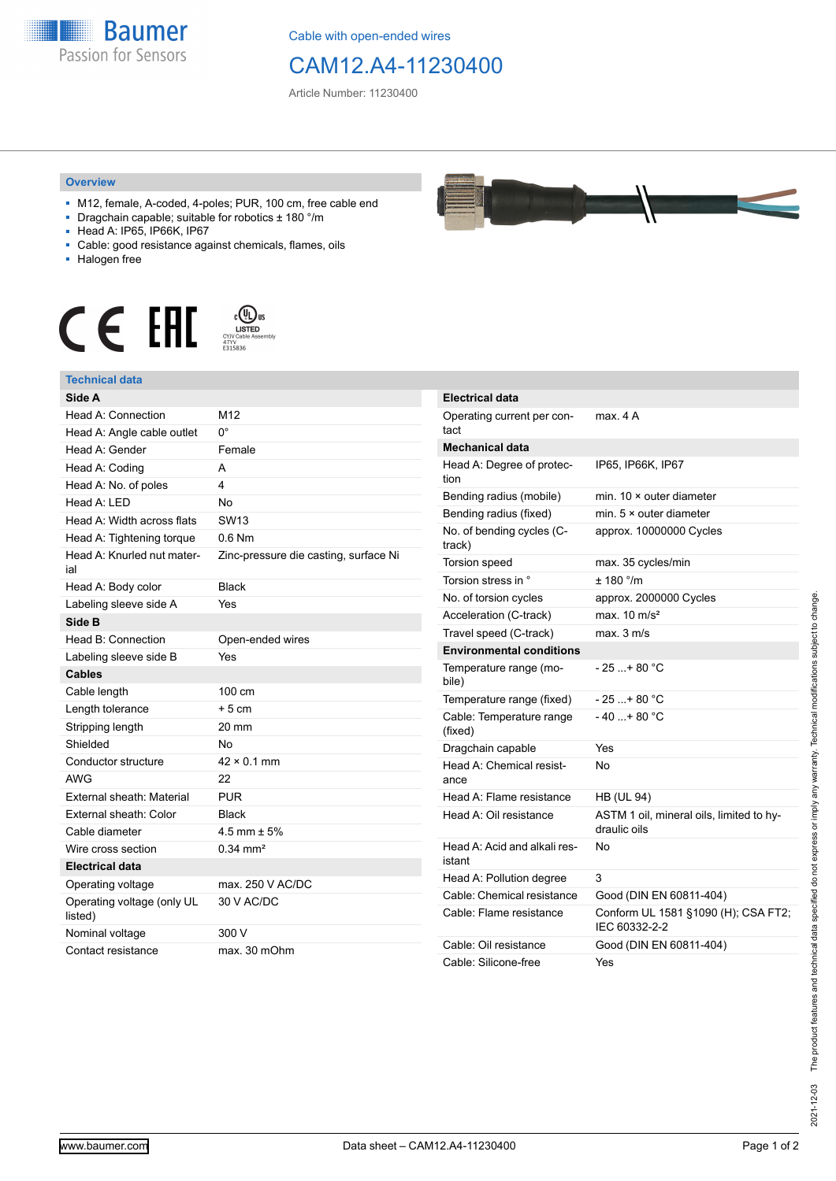

Cable with open-ended wires

## CAM12.A4-11230400

Article Number: 11230400

## **Overview**

- M12, female, A-coded, 4-poles; PUR, 100 cm, free cable end
- Dragchain capable; suitable for robotics ± 180 °/m
- Head A: IP65, IP66K, IP67
- Cable: good resistance against chemicals, flames, oils
- Halogen free



## **Technical data**

| Side A                                |                                       |
|---------------------------------------|---------------------------------------|
| Head A: Connection                    | M <sub>12</sub>                       |
| Head A: Angle cable outlet            | 0°                                    |
| Head A: Gender                        | Female                                |
| Head A: Coding                        | А                                     |
| Head A: No. of poles                  | 4                                     |
| Head A: LED                           | No                                    |
| Head A: Width across flats            | <b>SW13</b>                           |
| Head A: Tightening torque             | $0.6$ Nm                              |
| Head A: Knurled nut mater-<br>ial     | Zinc-pressure die casting, surface Ni |
| Head A: Body color                    | <b>Black</b>                          |
| Labeling sleeve side A                | Yes                                   |
| Side B                                |                                       |
| Head B: Connection                    | Open-ended wires                      |
| Labeling sleeve side B                | Yes                                   |
| <b>Cables</b>                         |                                       |
| Cable length                          | 100 cm                                |
| Length tolerance                      | $+5$ cm                               |
| Stripping length                      | 20 mm                                 |
| Shielded                              | No                                    |
| Conductor structure                   | $42 \times 0.1$ mm                    |
| <b>AWG</b>                            | 22                                    |
| External sheath: Material             | <b>PUR</b>                            |
| External sheath: Color                | <b>Black</b>                          |
| Cable diameter                        | 4.5 mm $\pm$ 5%                       |
| Wire cross section                    | $0.34 \, \text{mm}^2$                 |
| <b>Electrical data</b>                |                                       |
| Operating voltage                     | max. 250 V AC/DC                      |
| Operating voltage (only UL<br>listed) | 30 V AC/DC                            |
| Nominal voltage                       | 300 V                                 |
| Contact resistance                    | max. 30 mOhm                          |

| <b>Electrical data</b>                 |                                                          |
|----------------------------------------|----------------------------------------------------------|
| Operating current per con-<br>tact     | max. 4 A                                                 |
| <b>Mechanical data</b>                 |                                                          |
| Head A: Degree of protec-<br>tion      | IP65, IP66K, IP67                                        |
| Bending radius (mobile)                | min. $10 \times$ outer diameter                          |
| Bending radius (fixed)                 | min. $5 \times$ outer diameter                           |
| No. of bending cycles (C-<br>track)    | approx. 10000000 Cycles                                  |
| Torsion speed                          | max. 35 cycles/min                                       |
| Torsion stress in °                    | ± 180 °/m                                                |
| No. of torsion cycles                  | approx. 2000000 Cycles                                   |
| Acceleration (C-track)                 | max $10 \text{ m/s}^2$                                   |
| Travel speed (C-track)                 | max. 3 m/s                                               |
| <b>Environmental conditions</b>        |                                                          |
| Temperature range (mo-<br>bile)        | - 25 + 80 °C                                             |
| Temperature range (fixed)              | - 25 + 80 °C                                             |
| Cable: Temperature range<br>(fixed)    | - 40 + 80 °C                                             |
| Dragchain capable                      | Yes                                                      |
| Head A: Chemical resist-<br>ance       | No                                                       |
| Head A: Flame resistance               | <b>HB (UL 94)</b>                                        |
| Head A: Oil resistance                 | ASTM 1 oil, mineral oils, limited to hy-<br>draulic oils |
| Head A: Acid and alkali res-<br>istant | No                                                       |
| Head A: Pollution degree               | 3                                                        |
| Cable: Chemical resistance             | Good (DIN EN 60811-404)                                  |
| Cable: Flame resistance                | Conform UL 1581 §1090 (H); CSA FT2;<br>IEC 60332-2-2     |
| Cable: Oil resistance                  | Good (DIN EN 60811-404)                                  |
| Cable: Silicone-free                   | Yes                                                      |